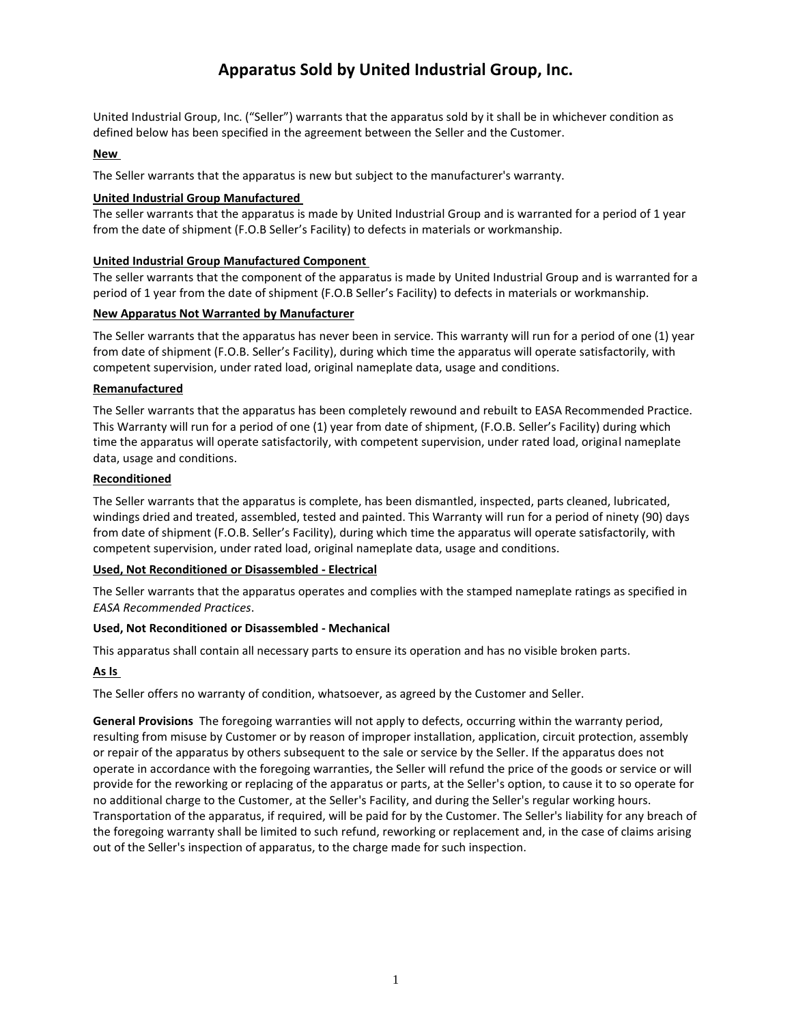# **Apparatus Sold by United Industrial Group, Inc.**

United Industrial Group, Inc. ("Seller") warrants that the apparatus sold by it shall be in whichever condition as defined below has been specified in the agreement between the Seller and the Customer.

#### **New**

The Seller warrants that the apparatus is new but subject to the manufacturer's warranty.

#### **United Industrial Group Manufactured**

The seller warrants that the apparatus is made by United Industrial Group and is warranted for a period of 1 year from the date of shipment (F.O.B Seller's Facility) to defects in materials or workmanship.

# **United Industrial Group Manufactured Component**

The seller warrants that the component of the apparatus is made by United Industrial Group and is warranted for a period of 1 year from the date of shipment (F.O.B Seller's Facility) to defects in materials or workmanship.

# **New Apparatus Not Warranted by Manufacturer**

The Seller warrants that the apparatus has never been in service. This warranty will run for a period of one (1) year from date of shipment (F.O.B. Seller's Facility), during which time the apparatus will operate satisfactorily, with competent supervision, under rated load, original nameplate data, usage and conditions.

#### **Remanufactured**

The Seller warrants that the apparatus has been completely rewound and rebuilt to EASA Recommended Practice. This Warranty will run for a period of one (1) year from date of shipment, (F.O.B. Seller's Facility) during which time the apparatus will operate satisfactorily, with competent supervision, under rated load, original nameplate data, usage and conditions.

# **Reconditioned**

The Seller warrants that the apparatus is complete, has been dismantled, inspected, parts cleaned, lubricated, windings dried and treated, assembled, tested and painted. This Warranty will run for a period of ninety (90) days from date of shipment (F.O.B. Seller's Facility), during which time the apparatus will operate satisfactorily, with competent supervision, under rated load, original nameplate data, usage and conditions.

# **Used, Not Reconditioned or Disassembled - Electrical**

The Seller warrants that the apparatus operates and complies with the stamped nameplate ratings as specified in *EASA Recommended Practices*.

#### **Used, Not Reconditioned or Disassembled - Mechanical**

This apparatus shall contain all necessary parts to ensure its operation and has no visible broken parts.

# **As Is**

The Seller offers no warranty of condition, whatsoever, as agreed by the Customer and Seller.

**General Provisions** The foregoing warranties will not apply to defects, occurring within the warranty period, resulting from misuse by Customer or by reason of improper installation, application, circuit protection, assembly or repair of the apparatus by others subsequent to the sale or service by the Seller. If the apparatus does not operate in accordance with the foregoing warranties, the Seller will refund the price of the goods or service or will provide for the reworking or replacing of the apparatus or parts, at the Seller's option, to cause it to so operate for no additional charge to the Customer, at the Seller's Facility, and during the Seller's regular working hours. Transportation of the apparatus, if required, will be paid for by the Customer. The Seller's liability for any breach of the foregoing warranty shall be limited to such refund, reworking or replacement and, in the case of claims arising out of the Seller's inspection of apparatus, to the charge made for such inspection.